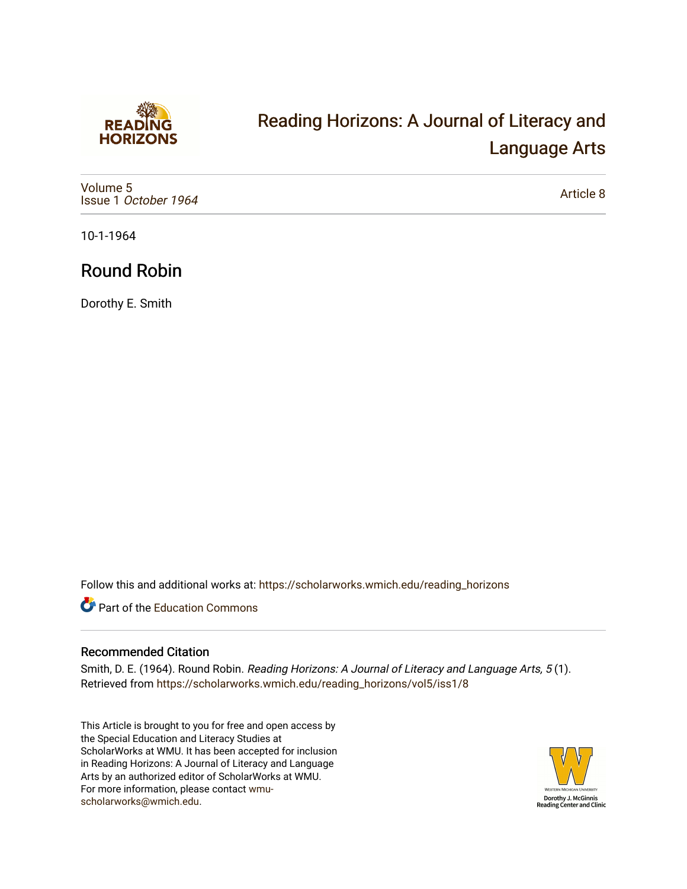

# [Reading Horizons: A Journal of Literacy and](https://scholarworks.wmich.edu/reading_horizons)  [Language Arts](https://scholarworks.wmich.edu/reading_horizons)

[Volume 5](https://scholarworks.wmich.edu/reading_horizons/vol5) Issue 1 [October 1964](https://scholarworks.wmich.edu/reading_horizons/vol5/iss1)

[Article 8](https://scholarworks.wmich.edu/reading_horizons/vol5/iss1/8) 

10-1-1964

## Round Robin

Dorothy E. Smith

Follow this and additional works at: [https://scholarworks.wmich.edu/reading\\_horizons](https://scholarworks.wmich.edu/reading_horizons?utm_source=scholarworks.wmich.edu%2Freading_horizons%2Fvol5%2Fiss1%2F8&utm_medium=PDF&utm_campaign=PDFCoverPages)

Part of the [Education Commons](http://network.bepress.com/hgg/discipline/784?utm_source=scholarworks.wmich.edu%2Freading_horizons%2Fvol5%2Fiss1%2F8&utm_medium=PDF&utm_campaign=PDFCoverPages)

#### Recommended Citation

Smith, D. E. (1964). Round Robin. Reading Horizons: A Journal of Literacy and Language Arts, 5 (1). Retrieved from [https://scholarworks.wmich.edu/reading\\_horizons/vol5/iss1/8](https://scholarworks.wmich.edu/reading_horizons/vol5/iss1/8?utm_source=scholarworks.wmich.edu%2Freading_horizons%2Fvol5%2Fiss1%2F8&utm_medium=PDF&utm_campaign=PDFCoverPages) 

This Article is brought to you for free and open access by the Special Education and Literacy Studies at ScholarWorks at WMU. It has been accepted for inclusion in Reading Horizons: A Journal of Literacy and Language Arts by an authorized editor of ScholarWorks at WMU. For more information, please contact [wmu](mailto:wmu-scholarworks@wmich.edu)[scholarworks@wmich.edu.](mailto:wmu-scholarworks@wmich.edu)

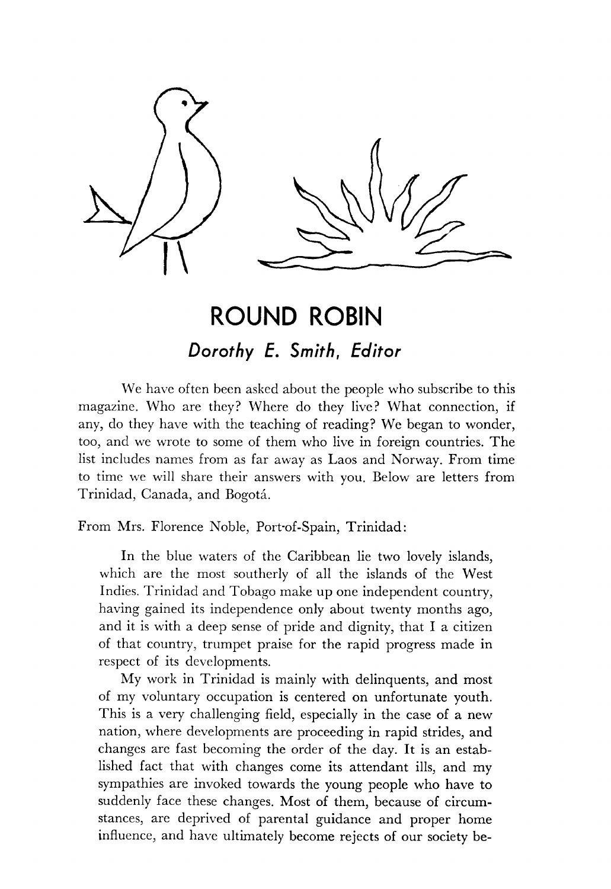

## *ROUND ROBIN Dorothy E. Smith, Editor*

We have often been asked about the people who subscribe to this magazine. Who are they? Where do they live? What connection, if any, do they have with the teaching of reading? We began to wonder, too, and we wrote to some of them who live in foreign countries. The list includes names from as far away as Laos and Norway. From time to time we will share their answers with you. Below are letters from Trinidad, Canada, and Bogotá.

From Mrs. Florence Noble, Port-of-Spain, Trinidad:

In the blue waters of the Caribbean lie two lovely islands, which are the most southerly of all the islands of the West Indies. Trinidad and Tobago make up one independent country, having gained its independence only about twenty months ago, and it is with a deep sense of pride and dignity, that I a citizen of that country, trumpet praise for the rapid progress made in respect of its developments.

My work in Trinidad is mainly with delinquents, and most of my voluntary occupation is centered on unfortunate youth. This is a very challenging field, especially in the case of a new nation, where developments are proceeding in rapid strides, and changes are fast becoming the order of the day. It is an estab lished fact that with changes come its attendant ills, and my sympathies are invoked towards the young people who have to suddenly face these changes. Most of them, because of circum stances, are deprived of parental guidance and proper home influence, and have ultimately become rejects of our society be-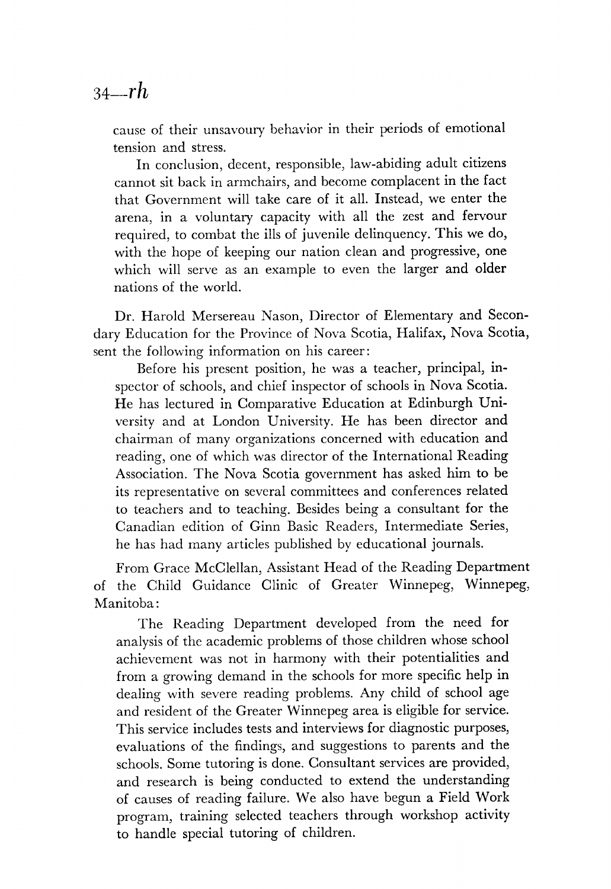### *34—rh*

cause of their unsavoury behavior in their periods of emotional tension and stress.

In conclusion, decent, responsible, law-abiding adult citizens cannot sit back in armchairs, and become complacent in the fact that Government will take care of it all. Instead, we enter the arena, in a voluntary capacity with all the zest and fervour required, to combat the ills of juvenile delinquency. This we do, with the hope of keeping our nation clean and progressive, one which will serve as an example to even the larger and older nations of the world.

Dr. Harold Mersereau Nason, Director of Elementary and Secon dary Education for the Province of Nova Scotia, Halifax, Nova Scotia, sent the following information on his career:

Before his present position, he was a teacher, principal, in spector of schools, and chief inspector of schools in Nova Scotia. He has lectured in Comparative Education at Edinburgh Uni versity and at London University. He has been director and chairman of many organizations concerned with education and reading, one of which was director of the International Reading Association. The Nova Scotia government has asked him to be its representative on several committees and conferences related to teachers and to teaching. Besides being a consultant for the Canadian edition of Ginn Basic Readers, Intermediate Series, he has had many articles published by educational journals.

From Grace McClellan, Assistant Head of the Reading Department of the Child Guidance Clinic of Greater Winnepeg, Winnepeg, Manitoba:

The Reading Department developed from the need for analysis of the academic problems of those children whose school achievement was not in harmony with their potentialities and from a growing demand in the schools for more specific help in dealing with severe reading problems. Any child of school age and resident of the Greater Winnepeg area is eligible for service. This service includes tests and interviews for diagnostic purposes, evaluations of the findings, and suggestions to parents and the schools. Some tutoring is done. Consultant services are provided, and research is being conducted to extend the understanding of causes of reading failure. We also have begun a Field Work program, training selected teachers through workshop activity to handle special tutoring of children.